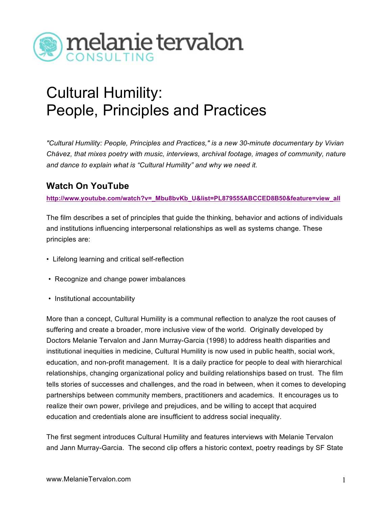

## Cultural Humility: People, Principles and Practices

 *"Cultural Humility: People, Principles and Practices," is a new 30-minute documentary by Vivian Chávez, that mixes poetry with music, interviews, archival footage, images of community, nature and dance to explain what is "Cultural Humility" and why we need it.* 

## **Watch On YouTube**

**[http://www.youtube.com/watch?v=\\_Mbu8bvKb\\_U&list=PL879555ABCCED8B50&feature=view\\_all](http://www.youtube.com/watch?v=_Mbu8bvKb_U&list=PL879555ABCCED8B50&feature=view_all)** 

 The film describes a set of principles that guide the thinking, behavior and actions of individuals and institutions influencing interpersonal relationships as well as systems change. These principles are:

- Lifelong learning and critical self-reflection
- Recognize and change power imbalances
- Institutional accountability

 More than a concept, Cultural Humility is a communal reflection to analyze the root causes of suffering and create a broader, more inclusive view of the world. Originally developed by Doctors Melanie Tervalon and Jann Murray-Garcia (1998) to address health disparities and institutional inequities in medicine, Cultural Humility is now used in public health, social work, education, and non-profit management. It is a daily practice for people to deal with hierarchical relationships, changing organizational policy and building relationships based on trust. The film partnerships between community members, practitioners and academics. It encourages us to realize their own power, privilege and prejudices, and be willing to accept that acquired education and credentials alone are insufficient to address social inequality. tells stories of successes and challenges, and the road in between, when it comes to developing

 The first segment introduces Cultural Humility and features interviews with Melanie Tervalon and Jann Murray-Garcia. The second clip offers a historic context, poetry readings by SF State